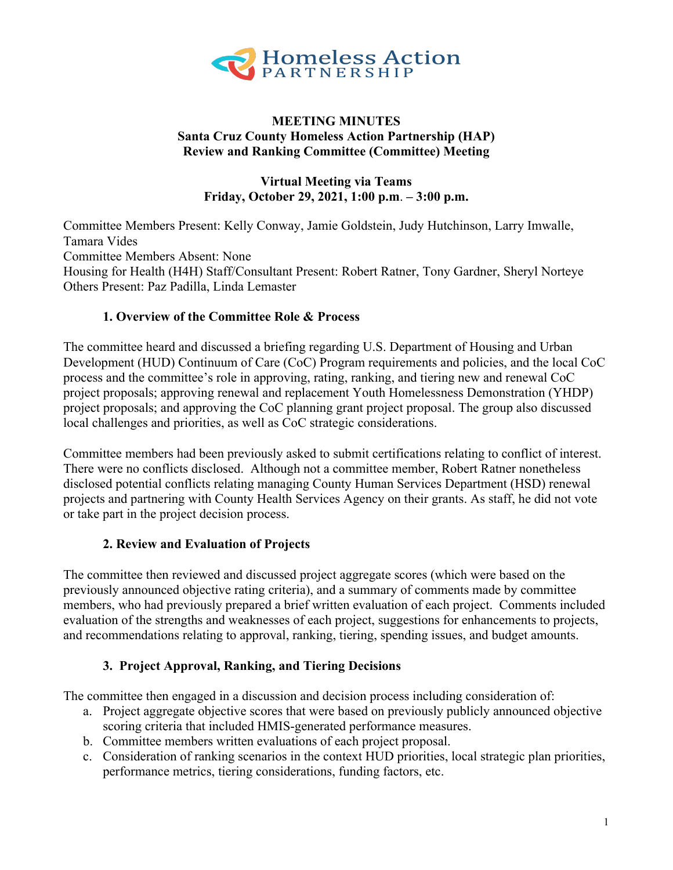

### **MEETING MINUTES Santa Cruz County Homeless Action Partnership (HAP) Review and Ranking Committee (Committee) Meeting**

### **Virtual Meeting via Teams Friday, October 29, 2021, 1:00 p.m**. **– 3:00 p.m.**

Committee Members Present: Kelly Conway, Jamie Goldstein, Judy Hutchinson, Larry Imwalle, Tamara Vides Committee Members Absent: None Housing for Health (H4H) Staff/Consultant Present: Robert Ratner, Tony Gardner, Sheryl Norteye Others Present: Paz Padilla, Linda Lemaster

### **1. Overview of the Committee Role & Process**

The committee heard and discussed a briefing regarding U.S. Department of Housing and Urban Development (HUD) Continuum of Care (CoC) Program requirements and policies, and the local CoC process and the committee's role in approving, rating, ranking, and tiering new and renewal CoC project proposals; approving renewal and replacement Youth Homelessness Demonstration (YHDP) project proposals; and approving the CoC planning grant project proposal. The group also discussed local challenges and priorities, as well as CoC strategic considerations.

Committee members had been previously asked to submit certifications relating to conflict of interest. There were no conflicts disclosed. Although not a committee member, Robert Ratner nonetheless disclosed potential conflicts relating managing County Human Services Department (HSD) renewal projects and partnering with County Health Services Agency on their grants. As staff, he did not vote or take part in the project decision process.

### **2. Review and Evaluation of Projects**

The committee then reviewed and discussed project aggregate scores (which were based on the previously announced objective rating criteria), and a summary of comments made by committee members, who had previously prepared a brief written evaluation of each project. Comments included evaluation of the strengths and weaknesses of each project, suggestions for enhancements to projects, and recommendations relating to approval, ranking, tiering, spending issues, and budget amounts.

### **3. Project Approval, Ranking, and Tiering Decisions**

The committee then engaged in a discussion and decision process including consideration of:

- a. Project aggregate objective scores that were based on previously publicly announced objective scoring criteria that included HMIS-generated performance measures.
- b. Committee members written evaluations of each project proposal.
- c. Consideration of ranking scenarios in the context HUD priorities, local strategic plan priorities, performance metrics, tiering considerations, funding factors, etc.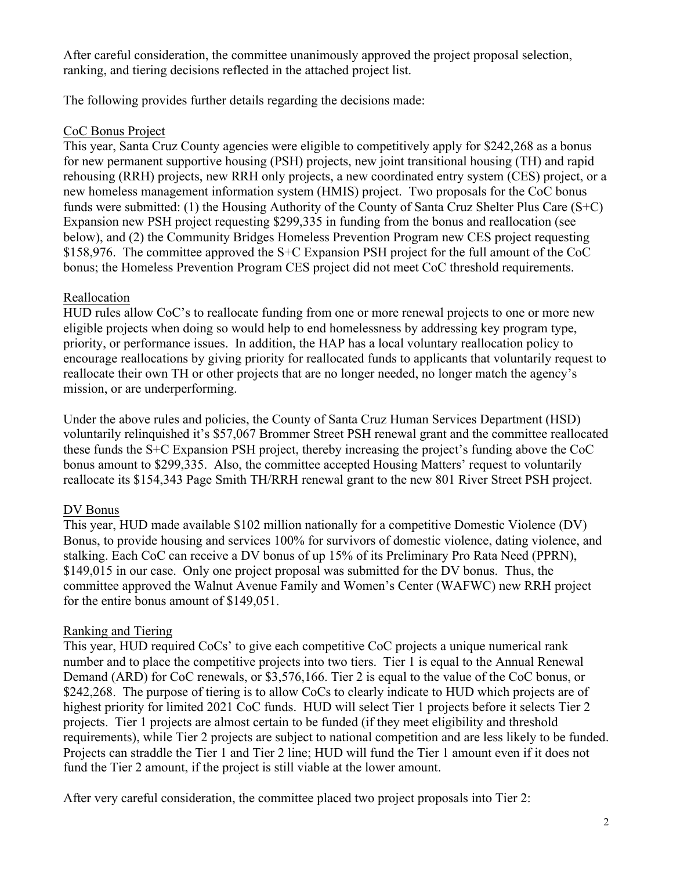After careful consideration, the committee unanimously approved the project proposal selection, ranking, and tiering decisions reflected in the attached project list.

The following provides further details regarding the decisions made:

## CoC Bonus Project

This year, Santa Cruz County agencies were eligible to competitively apply for \$242,268 as a bonus for new permanent supportive housing (PSH) projects, new joint transitional housing (TH) and rapid rehousing (RRH) projects, new RRH only projects, a new coordinated entry system (CES) project, or a new homeless management information system (HMIS) project. Two proposals for the CoC bonus funds were submitted: (1) the Housing Authority of the County of Santa Cruz Shelter Plus Care (S+C) Expansion new PSH project requesting \$299,335 in funding from the bonus and reallocation (see below), and (2) the Community Bridges Homeless Prevention Program new CES project requesting \$158,976. The committee approved the S+C Expansion PSH project for the full amount of the CoC bonus; the Homeless Prevention Program CES project did not meet CoC threshold requirements.

## Reallocation

HUD rules allow CoC's to reallocate funding from one or more renewal projects to one or more new eligible projects when doing so would help to end homelessness by addressing key program type, priority, or performance issues. In addition, the HAP has a local voluntary reallocation policy to encourage reallocations by giving priority for reallocated funds to applicants that voluntarily request to reallocate their own TH or other projects that are no longer needed, no longer match the agency's mission, or are underperforming.

Under the above rules and policies, the County of Santa Cruz Human Services Department (HSD) voluntarily relinquished it's \$57,067 Brommer Street PSH renewal grant and the committee reallocated these funds the S+C Expansion PSH project, thereby increasing the project's funding above the CoC bonus amount to \$299,335. Also, the committee accepted Housing Matters' request to voluntarily reallocate its \$154,343 Page Smith TH/RRH renewal grant to the new 801 River Street PSH project.

# DV Bonus

This year, HUD made available \$102 million nationally for a competitive Domestic Violence (DV) Bonus, to provide housing and services 100% for survivors of domestic violence, dating violence, and stalking. Each CoC can receive a DV bonus of up 15% of its Preliminary Pro Rata Need (PPRN), \$149,015 in our case. Only one project proposal was submitted for the DV bonus. Thus, the committee approved the Walnut Avenue Family and Women's Center (WAFWC) new RRH project for the entire bonus amount of \$149,051.

## Ranking and Tiering

This year, HUD required CoCs' to give each competitive CoC projects a unique numerical rank number and to place the competitive projects into two tiers. Tier 1 is equal to the Annual Renewal Demand (ARD) for CoC renewals, or \$3,576,166. Tier 2 is equal to the value of the CoC bonus, or \$242,268. The purpose of tiering is to allow CoCs to clearly indicate to HUD which projects are of highest priority for limited 2021 CoC funds. HUD will select Tier 1 projects before it selects Tier 2 projects. Tier 1 projects are almost certain to be funded (if they meet eligibility and threshold requirements), while Tier 2 projects are subject to national competition and are less likely to be funded. Projects can straddle the Tier 1 and Tier 2 line; HUD will fund the Tier 1 amount even if it does not fund the Tier 2 amount, if the project is still viable at the lower amount.

After very careful consideration, the committee placed two project proposals into Tier 2: